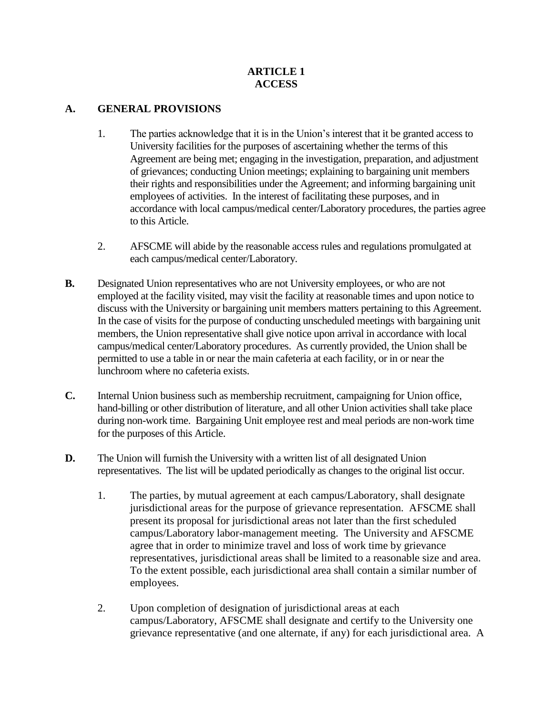#### **ARTICLE 1 ACCESS**

#### **A. GENERAL PROVISIONS**

- 1. The parties acknowledge that it is in the Union's interest that it be granted access to University facilities for the purposes of ascertaining whether the terms of this Agreement are being met; engaging in the investigation, preparation, and adjustment of grievances; conducting Union meetings; explaining to bargaining unit members their rights and responsibilities under the Agreement; and informing bargaining unit employees of activities. In the interest of facilitating these purposes, and in accordance with local campus/medical center/Laboratory procedures, the parties agree to this Article.
- 2. AFSCME will abide by the reasonable access rules and regulations promulgated at each campus/medical center/Laboratory.
- **B.** Designated Union representatives who are not University employees, or who are not employed at the facility visited, may visit the facility at reasonable times and upon notice to discuss with the University or bargaining unit members matters pertaining to this Agreement. In the case of visits for the purpose of conducting unscheduled meetings with bargaining unit members, the Union representative shall give notice upon arrival in accordance with local campus/medical center/Laboratory procedures. As currently provided, the Union shall be permitted to use a table in or near the main cafeteria at each facility, or in or near the lunchroom where no cafeteria exists.
- **C.** Internal Union business such as membership recruitment, campaigning for Union office, hand-billing or other distribution of literature, and all other Union activities shall take place during non-work time. Bargaining Unit employee rest and meal periods are non-work time for the purposes of this Article.
- **D.** The Union will furnish the University with a written list of all designated Union representatives. The list will be updated periodically as changes to the original list occur.
	- 1. The parties, by mutual agreement at each campus/Laboratory, shall designate jurisdictional areas for the purpose of grievance representation. AFSCME shall present its proposal for jurisdictional areas not later than the first scheduled campus/Laboratory labor-management meeting. The University and AFSCME agree that in order to minimize travel and loss of work time by grievance representatives, jurisdictional areas shall be limited to a reasonable size and area. To the extent possible, each jurisdictional area shall contain a similar number of employees.
	- 2. Upon completion of designation of jurisdictional areas at each campus/Laboratory, AFSCME shall designate and certify to the University one grievance representative (and one alternate, if any) for each jurisdictional area. A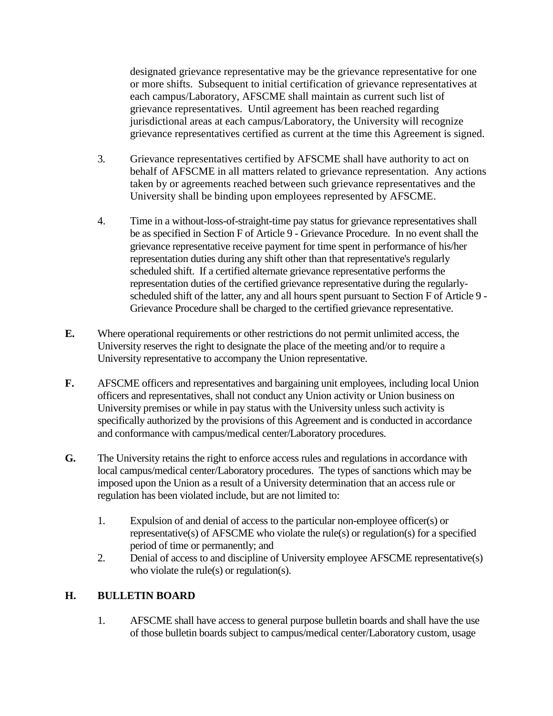designated grievance representative may be the grievance representative for one or more shifts. Subsequent to initial certification of grievance representatives at each campus/Laboratory, AFSCME shall maintain as current such list of grievance representatives. Until agreement has been reached regarding jurisdictional areas at each campus/Laboratory, the University will recognize grievance representatives certified as current at the time this Agreement is signed.

- 3. Grievance representatives certified by AFSCME shall have authority to act on behalf of AFSCME in all matters related to grievance representation. Any actions taken by or agreements reached between such grievance representatives and the University shall be binding upon employees represented by AFSCME.
- 4. Time in a without-loss-of-straight-time pay status for grievance representatives shall be as specified in Section F of Article 9 - Grievance Procedure. In no event shall the grievance representative receive payment for time spent in performance of his/her representation duties during any shift other than that representative's regularly scheduled shift. If a certified alternate grievance representative performs the representation duties of the certified grievance representative during the regularlyscheduled shift of the latter, any and all hours spent pursuant to Section F of Article 9 - Grievance Procedure shall be charged to the certified grievance representative.
- **E.** Where operational requirements or other restrictions do not permit unlimited access, the University reserves the right to designate the place of the meeting and/or to require a University representative to accompany the Union representative.
- **F.** AFSCME officers and representatives and bargaining unit employees, including local Union officers and representatives, shall not conduct any Union activity or Union business on University premises or while in pay status with the University unless such activity is specifically authorized by the provisions of this Agreement and is conducted in accordance and conformance with campus/medical center/Laboratory procedures.
- **G.** The University retains the right to enforce access rules and regulations in accordance with local campus/medical center/Laboratory procedures. The types of sanctions which may be imposed upon the Union as a result of a University determination that an access rule or regulation has been violated include, but are not limited to:
	- 1. Expulsion of and denial of access to the particular non-employee officer(s) or representative(s) of AFSCME who violate the rule(s) or regulation(s) for a specified period of time or permanently; and
	- 2. Denial of access to and discipline of University employee AFSCME representative(s) who violate the rule(s) or regulation(s).

#### **H. BULLETIN BOARD**

1. AFSCME shall have access to general purpose bulletin boards and shall have the use of those bulletin boards subject to campus/medical center/Laboratory custom, usage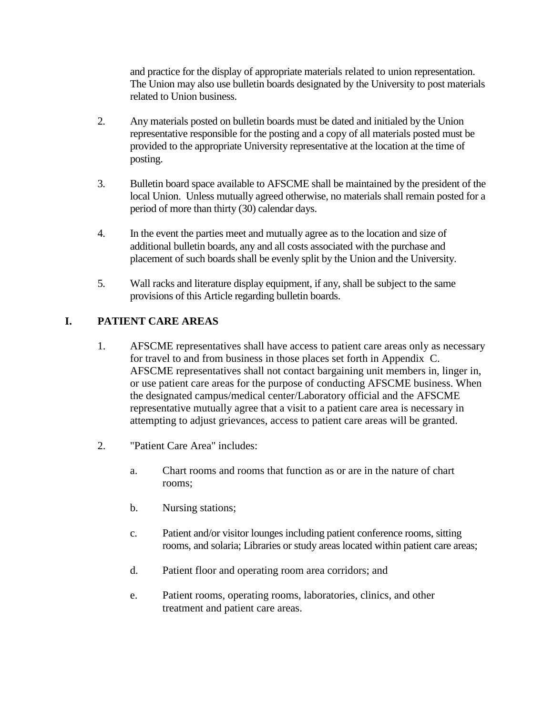and practice for the display of appropriate materials related to union representation. The Union may also use bulletin boards designated by the University to post materials related to Union business.

- 2. Any materials posted on bulletin boards must be dated and initialed by the Union representative responsible for the posting and a copy of all materials posted must be provided to the appropriate University representative at the location at the time of posting.
- 3. Bulletin board space available to AFSCME shall be maintained by the president of the local Union. Unless mutually agreed otherwise, no materials shall remain posted for a period of more than thirty (30) calendar days.
- 4. In the event the parties meet and mutually agree as to the location and size of additional bulletin boards, any and all costs associated with the purchase and placement of such boards shall be evenly split by the Union and the University.
- 5. Wall racks and literature display equipment, if any, shall be subject to the same provisions of this Article regarding bulletin boards.

## **I. PATIENT CARE AREAS**

- 1. AFSCME representatives shall have access to patient care areas only as necessary for travel to and from business in those places set forth in Appendix C. AFSCME representatives shall not contact bargaining unit members in, linger in, or use patient care areas for the purpose of conducting AFSCME business. When the designated campus/medical center/Laboratory official and the AFSCME representative mutually agree that a visit to a patient care area is necessary in attempting to adjust grievances, access to patient care areas will be granted.
- 2. "Patient Care Area" includes:
	- a. Chart rooms and rooms that function as or are in the nature of chart rooms;
	- b. Nursing stations;
	- c. Patient and/or visitor lounges including patient conference rooms, sitting rooms, and solaria; Libraries or study areas located within patient care areas;
	- d. Patient floor and operating room area corridors; and
	- e. Patient rooms, operating rooms, laboratories, clinics, and other treatment and patient care areas.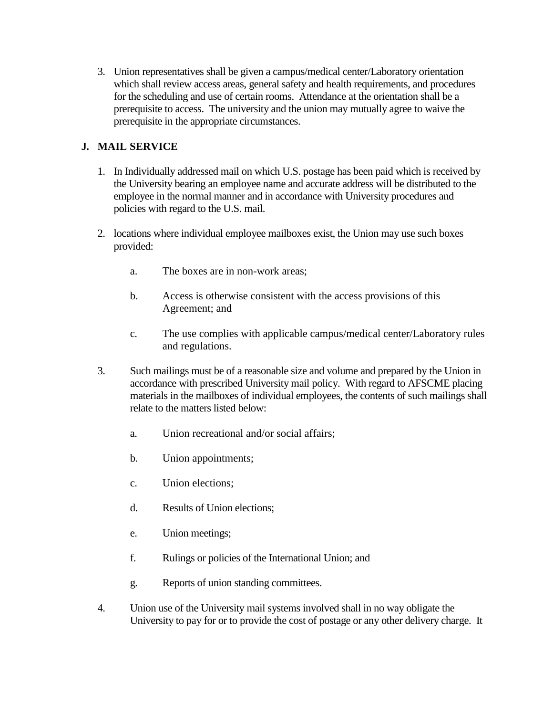3. Union representatives shall be given a campus/medical center/Laboratory orientation which shall review access areas, general safety and health requirements, and procedures for the scheduling and use of certain rooms. Attendance at the orientation shall be a prerequisite to access. The university and the union may mutually agree to waive the prerequisite in the appropriate circumstances.

## **J. MAIL SERVICE**

- 1. In Individually addressed mail on which U.S. postage has been paid which is received by the University bearing an employee name and accurate address will be distributed to the employee in the normal manner and in accordance with University procedures and policies with regard to the U.S. mail.
- 2. locations where individual employee mailboxes exist, the Union may use such boxes provided:
	- a. The boxes are in non-work areas;
	- b. Access is otherwise consistent with the access provisions of this Agreement; and
	- c. The use complies with applicable campus/medical center/Laboratory rules and regulations.
- 3. Such mailings must be of a reasonable size and volume and prepared by the Union in accordance with prescribed University mail policy. With regard to AFSCME placing materials in the mailboxes of individual employees, the contents of such mailings shall relate to the matters listed below:
	- a. Union recreational and/or social affairs;
	- b. Union appointments;
	- c. Union elections;
	- d. Results of Union elections;
	- e. Union meetings;
	- f. Rulings or policies of the International Union; and
	- g. Reports of union standing committees.
- 4. Union use of the University mail systems involved shall in no way obligate the University to pay for or to provide the cost of postage or any other delivery charge. It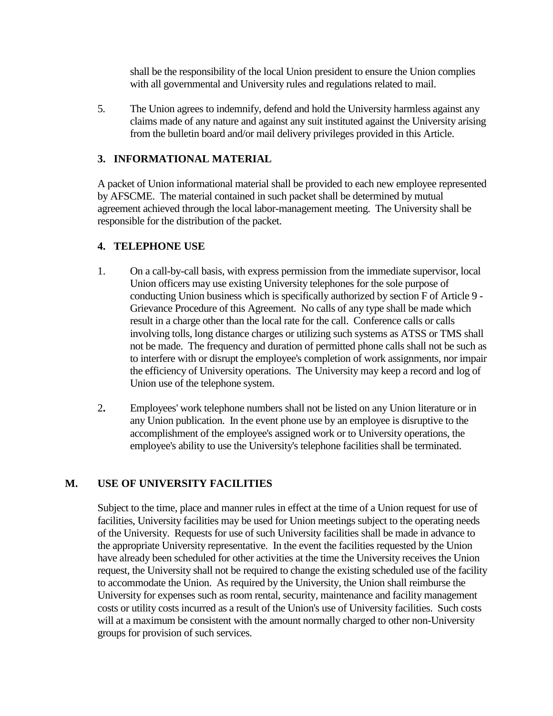shall be the responsibility of the local Union president to ensure the Union complies with all governmental and University rules and regulations related to mail.

5. The Union agrees to indemnify, defend and hold the University harmless against any claims made of any nature and against any suit instituted against the University arising from the bulletin board and/or mail delivery privileges provided in this Article.

### **3. INFORMATIONAL MATERIAL**

A packet of Union informational material shall be provided to each new employee represented by AFSCME. The material contained in such packet shall be determined by mutual agreement achieved through the local labor-management meeting. The University shall be responsible for the distribution of the packet.

#### **4. TELEPHONE USE**

- 1. On a call-by-call basis, with express permission from the immediate supervisor, local Union officers may use existing University telephones for the sole purpose of conducting Union business which is specifically authorized by section F of Article 9 - Grievance Procedure of this Agreement. No calls of any type shall be made which result in a charge other than the local rate for the call. Conference calls or calls involving tolls, long distance charges or utilizing such systems as ATSS or TMS shall not be made. The frequency and duration of permitted phone calls shall not be such as to interfere with or disrupt the employee's completion of work assignments, nor impair the efficiency of University operations. The University may keep a record and log of Union use of the telephone system.
- 2**.** Employees' work telephone numbers shall not be listed on any Union literature or in any Union publication. In the event phone use by an employee is disruptive to the accomplishment of the employee's assigned work or to University operations, the employee's ability to use the University's telephone facilities shall be terminated.

#### **M. USE OF UNIVERSITY FACILITIES**

Subject to the time, place and manner rules in effect at the time of a Union request for use of facilities, University facilities may be used for Union meetings subject to the operating needs of the University. Requests for use of such University facilities shall be made in advance to the appropriate University representative. In the event the facilities requested by the Union have already been scheduled for other activities at the time the University receives the Union request, the University shall not be required to change the existing scheduled use of the facility to accommodate the Union. As required by the University, the Union shall reimburse the University for expenses such as room rental, security, maintenance and facility management costs or utility costs incurred as a result of the Union's use of University facilities. Such costs will at a maximum be consistent with the amount normally charged to other non-University groups for provision of such services.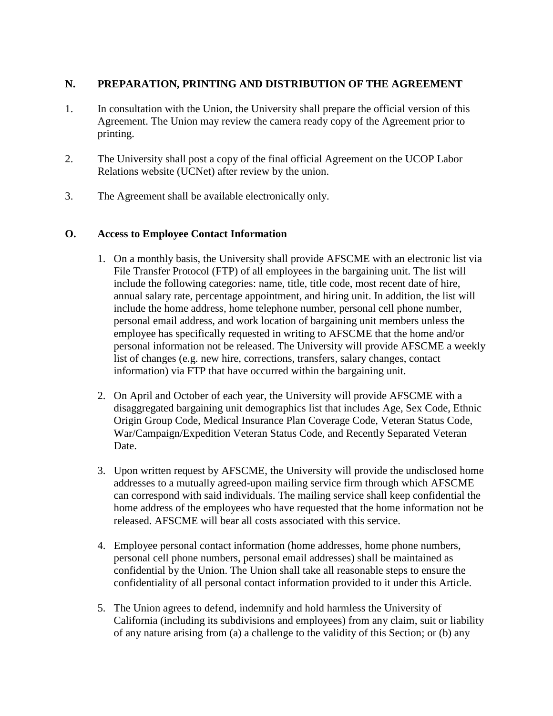#### **N. PREPARATION, PRINTING AND DISTRIBUTION OF THE AGREEMENT**

- 1. In consultation with the Union, the University shall prepare the official version of this Agreement. The Union may review the camera ready copy of the Agreement prior to printing.
- 2. The University shall post a copy of the final official Agreement on the UCOP Labor Relations website (UCNet) after review by the union.
- 3. The Agreement shall be available electronically only.

#### **O. Access to Employee Contact Information**

- 1. On a monthly basis, the University shall provide AFSCME with an electronic list via File Transfer Protocol (FTP) of all employees in the bargaining unit. The list will include the following categories: name, title, title code, most recent date of hire, annual salary rate, percentage appointment, and hiring unit. In addition, the list will include the home address, home telephone number, personal cell phone number, personal email address, and work location of bargaining unit members unless the employee has specifically requested in writing to AFSCME that the home and/or personal information not be released. The University will provide AFSCME a weekly list of changes (e.g. new hire, corrections, transfers, salary changes, contact information) via FTP that have occurred within the bargaining unit.
- 2. On April and October of each year, the University will provide AFSCME with a disaggregated bargaining unit demographics list that includes Age, Sex Code, Ethnic Origin Group Code, Medical Insurance Plan Coverage Code, Veteran Status Code, War/Campaign/Expedition Veteran Status Code, and Recently Separated Veteran Date.
- 3. Upon written request by AFSCME, the University will provide the undisclosed home addresses to a mutually agreed-upon mailing service firm through which AFSCME can correspond with said individuals. The mailing service shall keep confidential the home address of the employees who have requested that the home information not be released. AFSCME will bear all costs associated with this service.
- 4. Employee personal contact information (home addresses, home phone numbers, personal cell phone numbers, personal email addresses) shall be maintained as confidential by the Union. The Union shall take all reasonable steps to ensure the confidentiality of all personal contact information provided to it under this Article.
- 5. The Union agrees to defend, indemnify and hold harmless the University of California (including its subdivisions and employees) from any claim, suit or liability of any nature arising from (a) a challenge to the validity of this Section; or (b) any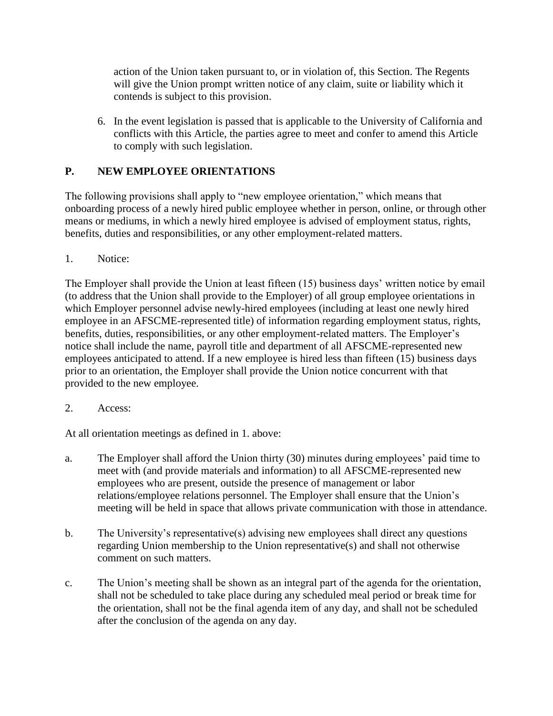action of the Union taken pursuant to, or in violation of, this Section. The Regents will give the Union prompt written notice of any claim, suite or liability which it contends is subject to this provision.

6. In the event legislation is passed that is applicable to the University of California and conflicts with this Article, the parties agree to meet and confer to amend this Article to comply with such legislation.

# **P. NEW EMPLOYEE ORIENTATIONS**

The following provisions shall apply to "new employee orientation," which means that onboarding process of a newly hired public employee whether in person, online, or through other means or mediums, in which a newly hired employee is advised of employment status, rights, benefits, duties and responsibilities, or any other employment-related matters.

1. Notice:

The Employer shall provide the Union at least fifteen (15) business days' written notice by email (to address that the Union shall provide to the Employer) of all group employee orientations in which Employer personnel advise newly-hired employees (including at least one newly hired employee in an AFSCME-represented title) of information regarding employment status, rights, benefits, duties, responsibilities, or any other employment-related matters. The Employer's notice shall include the name, payroll title and department of all AFSCME-represented new employees anticipated to attend. If a new employee is hired less than fifteen (15) business days prior to an orientation, the Employer shall provide the Union notice concurrent with that provided to the new employee.

2. Access:

At all orientation meetings as defined in 1. above:

- a. The Employer shall afford the Union thirty (30) minutes during employees' paid time to meet with (and provide materials and information) to all AFSCME-represented new employees who are present, outside the presence of management or labor relations/employee relations personnel. The Employer shall ensure that the Union's meeting will be held in space that allows private communication with those in attendance.
- b. The University's representative(s) advising new employees shall direct any questions regarding Union membership to the Union representative(s) and shall not otherwise comment on such matters.
- c. The Union's meeting shall be shown as an integral part of the agenda for the orientation, shall not be scheduled to take place during any scheduled meal period or break time for the orientation, shall not be the final agenda item of any day, and shall not be scheduled after the conclusion of the agenda on any day.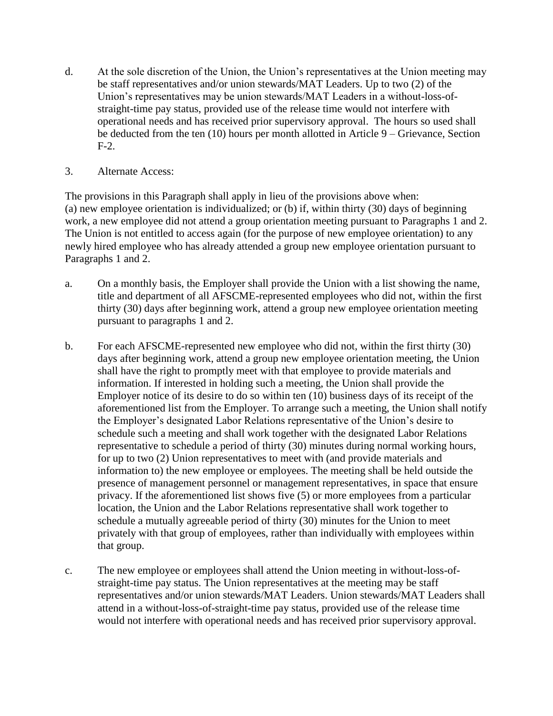- d. At the sole discretion of the Union, the Union's representatives at the Union meeting may be staff representatives and/or union stewards/MAT Leaders. Up to two (2) of the Union's representatives may be union stewards/MAT Leaders in a without-loss-ofstraight-time pay status, provided use of the release time would not interfere with operational needs and has received prior supervisory approval. The hours so used shall be deducted from the ten (10) hours per month allotted in Article 9 – Grievance, Section F-2.
- 3. Alternate Access:

The provisions in this Paragraph shall apply in lieu of the provisions above when: (a) new employee orientation is individualized; or (b) if, within thirty (30) days of beginning work, a new employee did not attend a group orientation meeting pursuant to Paragraphs 1 and 2. The Union is not entitled to access again (for the purpose of new employee orientation) to any newly hired employee who has already attended a group new employee orientation pursuant to Paragraphs 1 and 2.

- a. On a monthly basis, the Employer shall provide the Union with a list showing the name, title and department of all AFSCME-represented employees who did not, within the first thirty (30) days after beginning work, attend a group new employee orientation meeting pursuant to paragraphs 1 and 2.
- b. For each AFSCME-represented new employee who did not, within the first thirty (30) days after beginning work, attend a group new employee orientation meeting, the Union shall have the right to promptly meet with that employee to provide materials and information. If interested in holding such a meeting, the Union shall provide the Employer notice of its desire to do so within ten (10) business days of its receipt of the aforementioned list from the Employer. To arrange such a meeting, the Union shall notify the Employer's designated Labor Relations representative of the Union's desire to schedule such a meeting and shall work together with the designated Labor Relations representative to schedule a period of thirty (30) minutes during normal working hours, for up to two (2) Union representatives to meet with (and provide materials and information to) the new employee or employees. The meeting shall be held outside the presence of management personnel or management representatives, in space that ensure privacy. If the aforementioned list shows five (5) or more employees from a particular location, the Union and the Labor Relations representative shall work together to schedule a mutually agreeable period of thirty (30) minutes for the Union to meet privately with that group of employees, rather than individually with employees within that group.
- c. The new employee or employees shall attend the Union meeting in without-loss-ofstraight-time pay status. The Union representatives at the meeting may be staff representatives and/or union stewards/MAT Leaders. Union stewards/MAT Leaders shall attend in a without-loss-of-straight-time pay status, provided use of the release time would not interfere with operational needs and has received prior supervisory approval.